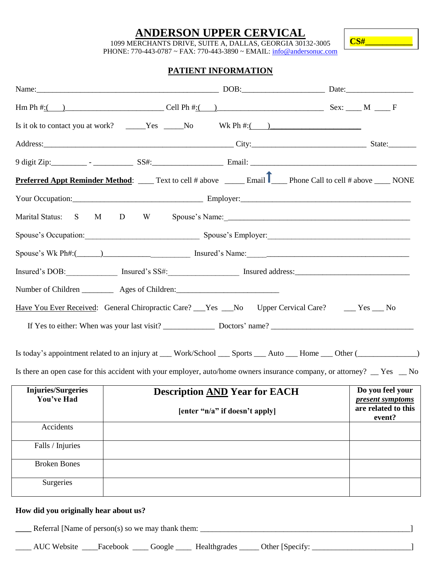### **ANDERSON UPPER CERVICAL**

**CS#\_\_\_\_\_\_\_\_\_\_\_**

1099 MERCHANTS DRIVE, SUITE A, DALLAS, GEORGIA 30132-3005

PHONE: 770-443-0787 ~ FAX: 770-443-3890 ~ EMAIL: info@andersonuc.com

### **PATIENT INFORMATION**

|                                         | Hm Ph #:( ) Cell Ph #:( ) Sex: ___ M ___ F                                                                                                                                                                                     |                                                           |  |
|-----------------------------------------|--------------------------------------------------------------------------------------------------------------------------------------------------------------------------------------------------------------------------------|-----------------------------------------------------------|--|
|                                         | Is it ok to contact you at work? _____Yes ____No Wk Ph $\#$ : ( )                                                                                                                                                              |                                                           |  |
|                                         | Address: State: State: State: State: State: State: State: State: State: State: State: State: State: State: State: State: State: State: State: State: State: State: State: State: State: State: State: State: State: State: Sta |                                                           |  |
|                                         |                                                                                                                                                                                                                                |                                                           |  |
|                                         | <b>Preferred Appt Reminder Method:</b> _____ Text to cell # above ______ Email P____ Phone Call to cell # above ____ NONE                                                                                                      |                                                           |  |
|                                         |                                                                                                                                                                                                                                |                                                           |  |
|                                         |                                                                                                                                                                                                                                |                                                           |  |
|                                         | Spouse's Occupation: Spouse's Employer: Spouse's Employer: Spouse's Employer:                                                                                                                                                  |                                                           |  |
|                                         |                                                                                                                                                                                                                                |                                                           |  |
|                                         | Insured's DOB: Insured's SS#: Insured's SS#: Insured address:                                                                                                                                                                  |                                                           |  |
|                                         | Number of Children ____________ Ages of Children: ______________________________                                                                                                                                               |                                                           |  |
|                                         | Have You Ever Received: General Chiropractic Care? No Upper Cervical Care? No Upper Cervical Care? No                                                                                                                          |                                                           |  |
|                                         |                                                                                                                                                                                                                                |                                                           |  |
|                                         | Is today's appointment related to an injury at __ Work/School __ Sports __ Auto __ Home __ Other (_________                                                                                                                    |                                                           |  |
|                                         | Is there an open case for this accident with your employer, auto/home owners insurance company, or attorney? __ Yes __ No                                                                                                      |                                                           |  |
| <b>Injuries/Surgeries</b><br>You've Had | <b>Description AND Year for EACH</b>                                                                                                                                                                                           | Do you feel your<br><i><u><b>present symptoms</b></u></i> |  |
|                                         | are related to this<br>[enter "n/a" if doesn't apply]<br>event?                                                                                                                                                                |                                                           |  |
| Accidents                               |                                                                                                                                                                                                                                |                                                           |  |
| Falls / Injuries                        |                                                                                                                                                                                                                                |                                                           |  |
| <b>Broken Bones</b>                     |                                                                                                                                                                                                                                |                                                           |  |
| Surgeries                               |                                                                                                                                                                                                                                |                                                           |  |
| How did you originally hear about us?   |                                                                                                                                                                                                                                |                                                           |  |

**\_\_\_\_** Referral [Name of person(s) so we may thank them: \_\_\_\_\_\_\_\_\_\_\_\_\_\_\_\_\_\_\_\_\_\_\_\_\_\_\_\_\_\_\_\_\_\_\_\_\_\_\_\_\_\_\_\_\_\_\_\_\_\_\_\_\_]

\_\_\_\_ AUC Website \_\_\_\_Facebook \_\_\_\_\_ Google \_\_\_\_\_ Healthgrades \_\_\_\_\_ Other [Specify: \_\_\_\_\_\_\_\_\_\_\_\_\_\_\_\_\_\_\_\_\_\_\_\_\_\_]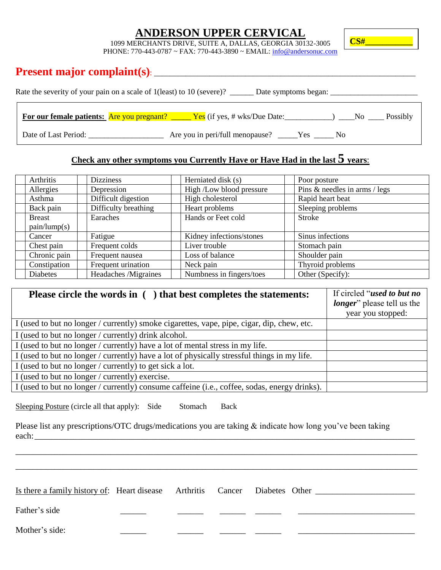# **ANDERSON UPPER CERVICAL**

**CS#\_\_\_\_\_\_\_\_\_\_\_**

1099 MERCHANTS DRIVE, SUITE A, DALLAS, GEORGIA 30132-3005

PHONE: 770-443-0787 ~ FAX: 770-443-3890 ~ EMAIL: info@andersonuc.com

# **Present major complaint(s)**: \_\_\_\_\_\_\_\_\_\_\_\_\_\_\_\_\_\_\_\_\_\_\_\_\_\_\_\_\_\_\_\_\_\_\_\_\_\_\_\_\_\_\_\_\_\_\_\_\_\_\_\_\_\_\_\_\_\_\_\_\_\_\_\_\_\_

| Rate the severity of your pain on a scale of 1 (least) to 10 (severe)?<br>Date symptoms began: |                                                          |  |  |  |  |
|------------------------------------------------------------------------------------------------|----------------------------------------------------------|--|--|--|--|
| <b>For our female patients:</b> Are you pregnant?                                              | $Yes$ (if yes, # wks/Due Date:<br>Possibly<br>No.        |  |  |  |  |
| Date of Last Period:                                                                           | Are you in peri/full menopause?<br>Yes<br>N <sub>0</sub> |  |  |  |  |

# **Check any other symptoms you Currently Have or Have Had in the last 5 years**:

<u> 1989 - Johann Barn, mars ann an t-Amhain an t-Amhain an t-Amhain an t-Amhain an t-Amhain an t-Amhain an t-Amh</u>

| Arthritis             | <b>Dizziness</b>     | Herniated disk (s)       | Poor posture                  |
|-----------------------|----------------------|--------------------------|-------------------------------|
| Allergies             | Depression           | High /Low blood pressure | Pins & needles in arms / legs |
| Asthma                | Difficult digestion  | High cholesterol         | Rapid heart beat              |
| Back pain             | Difficulty breathing | Heart problems           | Sleeping problems             |
| <b>Breast</b>         | Earaches             | Hands or Feet cold       | <b>Stroke</b>                 |
| $\text{pain/lump}(s)$ |                      |                          |                               |
| Cancer                | Fatigue              | Kidney infections/stones | Sinus infections              |
| Chest pain            | Frequent colds       | Liver trouble            | Stomach pain                  |
| Chronic pain          | Frequent nausea      | Loss of balance          | Shoulder pain                 |
| Constipation          | Frequent urination   | Neck pain                | Thyroid problems              |
| <b>Diabetes</b>       | Headaches /Migraines | Numbness in fingers/toes | Other (Specify):              |

| Please circle the words in () that best completes the statements:                            | If circled "used to but no         |
|----------------------------------------------------------------------------------------------|------------------------------------|
|                                                                                              | <i>longer</i> " please tell us the |
|                                                                                              | year you stopped:                  |
| I (used to but no longer / currently) smoke cigarettes, vape, pipe, cigar, dip, chew, etc.   |                                    |
| I (used to but no longer / currently) drink alcohol.                                         |                                    |
| I (used to but no longer / currently) have a lot of mental stress in my life.                |                                    |
| I (used to but no longer / currently) have a lot of physically stressful things in my life.  |                                    |
| I (used to but no longer / currently) to get sick a lot.                                     |                                    |
| I (used to but no longer / currently) exercise.                                              |                                    |
| I (used to but no longer / currently) consume caffeine (i.e., coffee, sodas, energy drinks). |                                    |

Sleeping Posture (circle all that apply): Side Stomach Back

Please list any prescriptions/OTC drugs/medications you are taking & indicate how long you've been taking each:

| Is there a family history of: Heart disease Arthritis Cancer Diabetes Other |  |  |  |
|-----------------------------------------------------------------------------|--|--|--|
| Father's side                                                               |  |  |  |
| Mother's side:                                                              |  |  |  |

\_\_\_\_\_\_\_\_\_\_\_\_\_\_\_\_\_\_\_\_\_\_\_\_\_\_\_\_\_\_\_\_\_\_\_\_\_\_\_\_\_\_\_\_\_\_\_\_\_\_\_\_\_\_\_\_\_\_\_\_\_\_\_\_\_\_\_\_\_\_\_\_\_\_\_\_\_\_\_\_\_\_\_\_\_\_\_\_\_\_\_\_\_